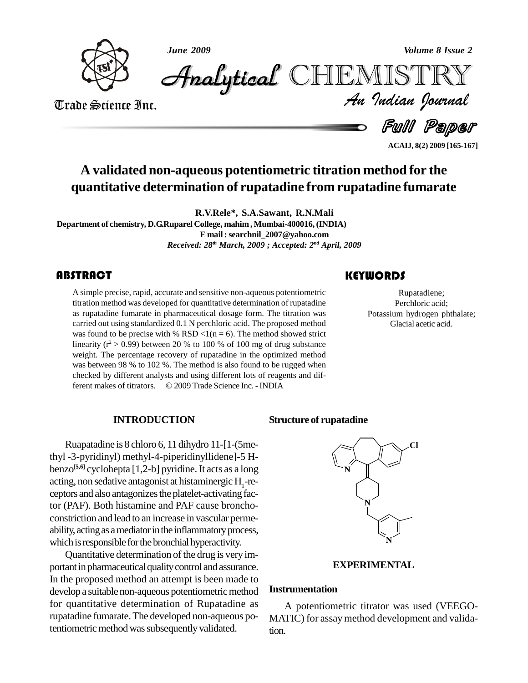

*June 2009 Volume 8 Issue 2*

*Volume 8 Issue 2*<br>IISTRY<br>*Indian Iournal* CHEMISTRY

Trade Science Inc. Trade Science Inc.

Ful Paper

Rupatadiene; Perchloric acid;

**ACAIJ, 8(2) 2009 [165-167]**

# **A validated non-aqueous potentiometric titration method for the quantitative determination of rupatadine from rupatadine fumarate**

**R.V.Rele\*, S.A.Sawant, R.N.Mali Department of chemistry, D.G.Ruparel College, mahim, Mumbai-400016,(INDIA) E mail:[searchnil\\_2007@yahoo.com](mailto:searchnil_2007@yahoo.com)** *Received: 28 th March, 2009 ; Accepted: 2 nd April, 2009*

# **ABSTRACT**

A simple precise, rapid, a<br>titration method was deve<br>as rupatadine fumarate i A simple precise, rapid, accurate and sensitive non-aqueous potentiometric titration method was developed for quantitative determination of rupatadine as rupatadine fumarate in pharmaceutical dosage form. The titration was carried out using standardized 0.1 N perchloric acid. The proposed method was found to be precise with % RSD <1(n = 6). The method showed strict linearity ( $r^2 > 0.99$ ) between 20 % to 100 % of 100 mg of drug substance weight. The percentage recovery of rupatadine in the optimized method was between 98 % to 102 %. The method is also found to be rugged when checked by different analysts and using different lots of reagents and different makes of titrators.  $\odot$  2009 Trade Science Inc. - INDIA checked by different analysts and using different lots of reagents and dif-

# Rupatadiene;<br>Perchloric acid;<br>Potassium hydrogen phthalate; Glacial acetic acid.

**KEYWORDS** 

# **INTRODUCTION**

Ruapatadine is 8 chloro 6, 11 dihydro 11-[1-(5methyl -3-pyridinyl) methyl-4-piperidinyllidene]-5 H-benzo **[5,6]** cyclohepta [1,2-b] pyridine. It acts as a long acting, non sedative antagonist at histaminergic  $H_1$ -re-ceptors and also antagonizes the platelet-activating factor (PAF). Both histamine and PAF cause broncho constriction and lead to an increase in vascular perme ability, acting as a mediator in the inflammatory process, which is responsible for the bronchial hyperactivity.

Quantitative determination of the drug is very important in pharmaceutical quality control and assurance. In the proposed method an attempt is been made to develop a suitable non-aqueous potentiometric method for quantitative determination of Rupatadine as rupatadine fumarate.The developed non-aqueous potentiometric method was subsequently validated.

# **Structure of rupatadine**



# **EXPERIMENTAL**

# **Instrumentation**

A potentiometric titrator was used (VEEGO- MATIC) for assay method development and validation.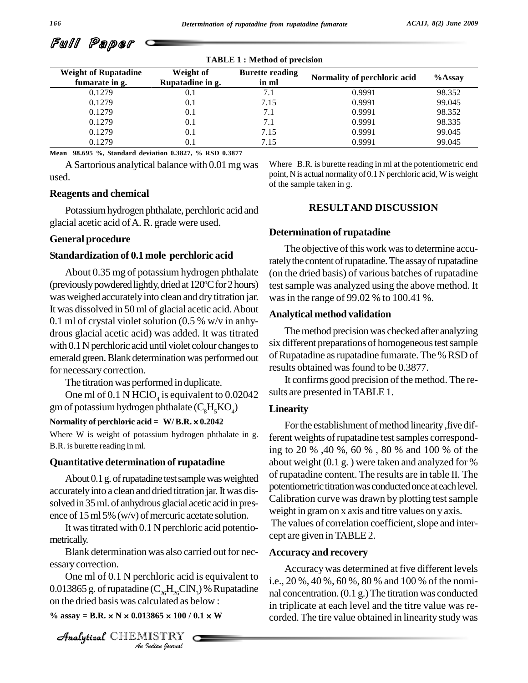| <b>TABLE 1: Method of precision</b>           |                               |                                 |                              |           |  |  |  |  |
|-----------------------------------------------|-------------------------------|---------------------------------|------------------------------|-----------|--|--|--|--|
| <b>Weight of Rupatadine</b><br>fumarate in g. | Weight of<br>Rupatadine in g. | <b>Burette reading</b><br>in ml | Normality of perchloric acid | $%$ Assay |  |  |  |  |
| 0.1279                                        | 0.1                           | 7.1                             | 0.9991                       | 98.352    |  |  |  |  |
| 0.1279                                        | 0.1                           | 7.15                            | 0.9991                       | 99.045    |  |  |  |  |
| 0.1279                                        | 0.1                           | 7.1                             | 0.9991                       | 98.352    |  |  |  |  |
| 0.1279                                        | 0.1                           | 7.1                             | 0.9991                       | 98.335    |  |  |  |  |
| 0.1279                                        | 0.1                           | 7.15                            | 0.9991                       | 99.045    |  |  |  |  |
| 0.1279                                        | 0.1                           | 7.15                            | 0.9991                       | 99.045    |  |  |  |  |

**Mean 98.695 %, Standard deviation 0.3827, % RSD 0.3877**

A Sartorious analytical balance with 0.01mg was used.

# Where B.R. is burette reading in ml at the potentiometric end point, N is actual normality of 0.1 N perchloric acid, W is weight of the sample taken in g.

# **Reagents and chemical**

Full Paper

Potassiumhydrogen phthalate, perchloric acid and glacial acetic acid ofA. R. grade were used.

# **General procedure**

# **Standardization of 0.1 mole perchloric acid**

About 0.35 mg of potassium hydrogen phthalate (previously powdered lightly, dried at 120°C for 2 hours) test was weighed accurately into clean and dry titration jar. It was dissolved in 50 ml of glacial acetic acid.About 0.1 ml of crystal violet solution (0.5 % w/v in anhy drous glacial acetic acid) was added. It was titrated with 0.1 N perchloric acid until violet colour changes to emerald green. Blank determination was performed out for necessary correction.

The titration was performed in duplicate.

One ml of 0.1 N HClO<sub>4</sub> is equivalent to  $0.02042$  sults are gm of potassium hydrogen phthalate  $(C_8H_5KO_4)$ <br>**Normality of perchloric acid = W/ B.R.**  $\times$  **0.2042** 

Where W is weight of potassium hydrogen phthalate in g. B.R. is burette reading in ml.

# **Quantitative determination of rupatadine**

About 0.1 g. of rupatadine test sample was weighted accurately into a clean and dried titration jar. It was dissolved in 35ml. of anhydrous glacial acetic acidin pres ence of 15 ml 5% (w/v) of mercuric acetate solution.

It wastitrated with 0.1 N perchloric acid potentio metrically.

Blank determination was also carried out for necessary correction.

One ml of 0.1 N perchloric acid is equivalent to  $\overrightarrow{A}$ <sub>i.e.</sub>, 20 *I*chloric acid<br> *E* (C<sub>26</sub>H<sub>26</sub>ClN<br> *I*lculated as b<br> *ISTRY*<br> *ISTRY* 0.013865 g. of rupatadine  $(C_{26}H_{26}CIN_3)\%$  Rupatadine on the dried basis was calculated as below :

%  $\text{assay} = B.R. \times N \times 0.013865 \times 100 / 0.1 \times W$ 

CHEMISTRY

# **RESULTAND DISCUSSION**

### **Determination of rupatadine**

The objective of this work was to determine accurately the content of rupatadine. The assay of rupatadine (on the dried basis) of various batches of rupatadine test sample was analyzed using the above method. It was in the range of 99.02 % to 100.41 %.

# **Analytical method validation**

The method precision was checked after analyzing six different preparations of homogeneous test sample of Rupatadine as rupatadine fumarate. The % RSD of results obtained was found to be 0.3877.

It confirms good precision of the method. The re sults are presented in TABLE 1.

# **Linearity**

For the establishment of method linearity, five different weights of rupatadine test samples corresponding to 20 % ,40 %, 60 % , 80 % and 100 % of the about weight (0.1 g. ) were taken and analyzed for % of rupatadine content. The results are in table II. The potentiometric titration was conducted once at each level. Calibration curve was drawn by plotting test sample weight in gramon x axis and titre values on y axis.

The values of correlation coefficient, slope and intercept are given in TABLE2.

# **Accuracy and recovery**

Accuracywas determined at five different levels i.e., 20 %, 40 %, 60 %, 80 % and 100 % of the nomi nal concentration. (0.1 g.) The titration was conducted in triplicate at each level and the titre value was re corded. The tire value obtained in linearity study was